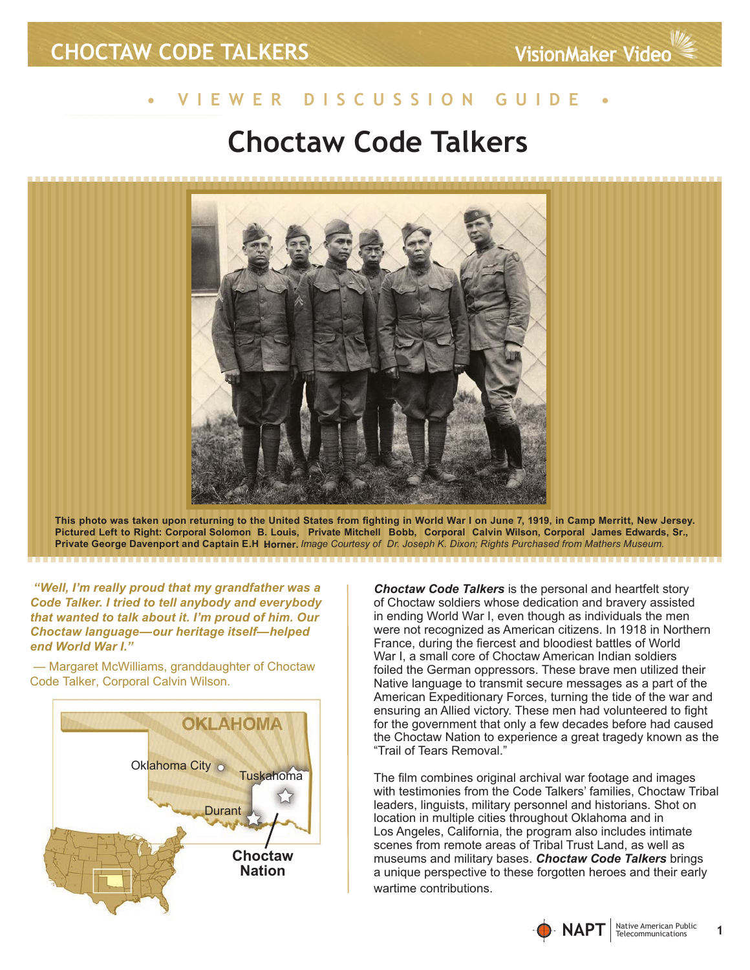# **• V i e w e r D i s c u s s i o n G u i d e •**

# **Choctaw Code Talkers**



**This photo was taken upon returning to the United States from fighting in World War I on June 7, 1919, in Camp Merritt, New Jersey.**  Pictured Left to Right: Corporal Solomon  B. Louis,  Private Mitchell  Bobb,  Corporal  Calvin Wilson, Corporal James Edwards, Sr., **Private George Davenport and Captain E.H Horner. .**  *Image Courtesy of Dr. Joseph K. Dixon; Rights Purchased from Mathers Museum.* 

 *"Well, I'm really proud that my grandfather was a Code Talker. I tried to tell anybody and everybody that wanted to talk about it. I'm proud of him. Our Choctaw language—our heritage itself—helped end World War I."* 

 — Margaret McWilliams, granddaughter of Choctaw Code Talker, Corporal Calvin Wilson.



*Choctaw Code Talkers* is the personal and heartfelt story of Choctaw soldiers whose dedication and bravery assisted in ending World War I, even though as individuals the men were not recognized as American citizens. In 1918 in Northern France, during the fiercest and bloodiest battles of World War I, a small core of Choctaw American Indian soldiers foiled the German oppressors. These brave men utilized their Native language to transmit secure messages as a part of the American Expeditionary Forces, turning the tide of the war and ensuring an Allied victory. These men had volunteered to fight for the government that only a few decades before had caused the Choctaw Nation to experience a great tragedy known as the "Trail of Tears Removal."

The film combines original archival war footage and images with testimonies from the Code Talkers' families, Choctaw Tribal leaders, linguists, military personnel and historians. Shot on location in multiple cities throughout Oklahoma and in Los Angeles, California, the program also includes intimate scenes from remote areas of Tribal Trust Land, as well as museums and military bases. *Choctaw Code Talkers* brings a unique perspective to these forgotten heroes and their early wartime contributions.

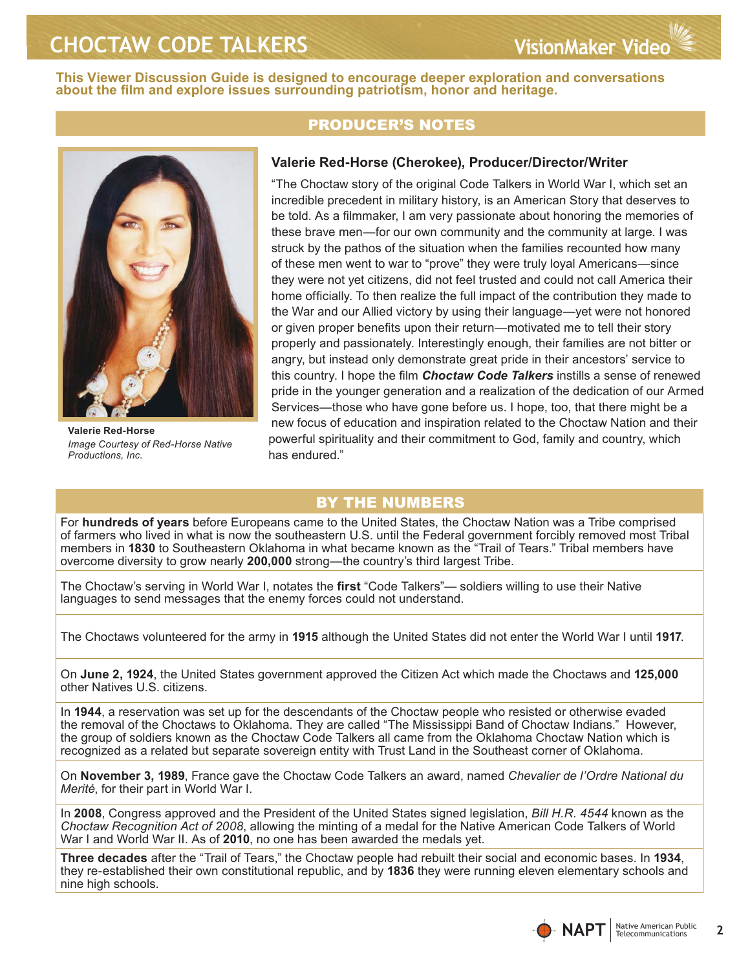**This Viewer Discussion Guide is designed to encourage deeper exploration and conversations about the film and explore issues surrounding patriotism, honor and heritage.** 



**Valerie Red-Horse** *Image Courtesy of Red-Horse Native Productions, Inc.*

### Producer's Notes

### **Valerie Red-Horse (Cherokee), Producer/Director/Writer**

"The Choctaw story of the original Code Talkers in World War I, which set an incredible precedent in military history, is an American Story that deserves to be told. As a filmmaker, I am very passionate about honoring the memories of these brave men—for our own community and the community at large. I was struck by the pathos of the situation when the families recounted how many of these men went to war to "prove" they were truly loyal Americans—since they were not yet citizens, did not feel trusted and could not call America their home officially. To then realize the full impact of the contribution they made to the War and our Allied victory by using their language—yet were not honored or given proper benefits upon their return—motivated me to tell their story properly and passionately. Interestingly enough, their families are not bitter or angry, but instead only demonstrate great pride in their ancestors' service to this country. I hope the film *Choctaw Code Talkers* instills a sense of renewed pride in the younger generation and a realization of the dedication of our Armed Services—those who have gone before us. I hope, too, that there might be a new focus of education and inspiration related to the Choctaw Nation and their powerful spirituality and their commitment to God, family and country, which has endured."

## By the Numbers

For **hundreds of years** before Europeans came to the United States, the Choctaw Nation was a Tribe comprised of farmers who lived in what is now the southeastern U.S. until the Federal government forcibly removed most Tribal members in **1830** to Southeastern Oklahoma in what became known as the "Trail of Tears." Tribal members have overcome diversity to grow nearly **200,000** strong—the country's third largest Tribe.

The Choctaw's serving in World War I, notates the **first** "Code Talkers"— soldiers willing to use their Native languages to send messages that the enemy forces could not understand.

The Choctaws volunteered for the army in **1915** although the United States did not enter the World War I until **1917**.

On **June 2, 1924**, the United States government approved the Citizen Act which made the Choctaws and **125,000**  other Natives U.S. citizens.

In **1944**, a reservation was set up for the descendants of the Choctaw people who resisted or otherwise evaded the removal of the Choctaws to Oklahoma. They are called "The Mississippi Band of Choctaw Indians." However, the group of soldiers known as the Choctaw Code Talkers all came from the Oklahoma Choctaw Nation which is recognized as a related but separate sovereign entity with Trust Land in the Southeast corner of Oklahoma.

On **November 3, 1989**, France gave the Choctaw Code Talkers an award, named *Chevalier de l'Ordre National du Merité*, for their part in World War I.

In **2008**, Congress approved and the President of the United States signed legislation, *Bill H.R. 4544* known as the *Choctaw Recognition Act of 2008*, allowing the minting of a medal for the Native American Code Talkers of World War I and World War II. As of **2010**, no one has been awarded the medals yet.

**Three decades** after the "Trail of Tears," the Choctaw people had rebuilt their social and economic bases. In **1934**, they re-established their own constitutional republic, and by **1836** they were running eleven elementary schools and nine high schools.

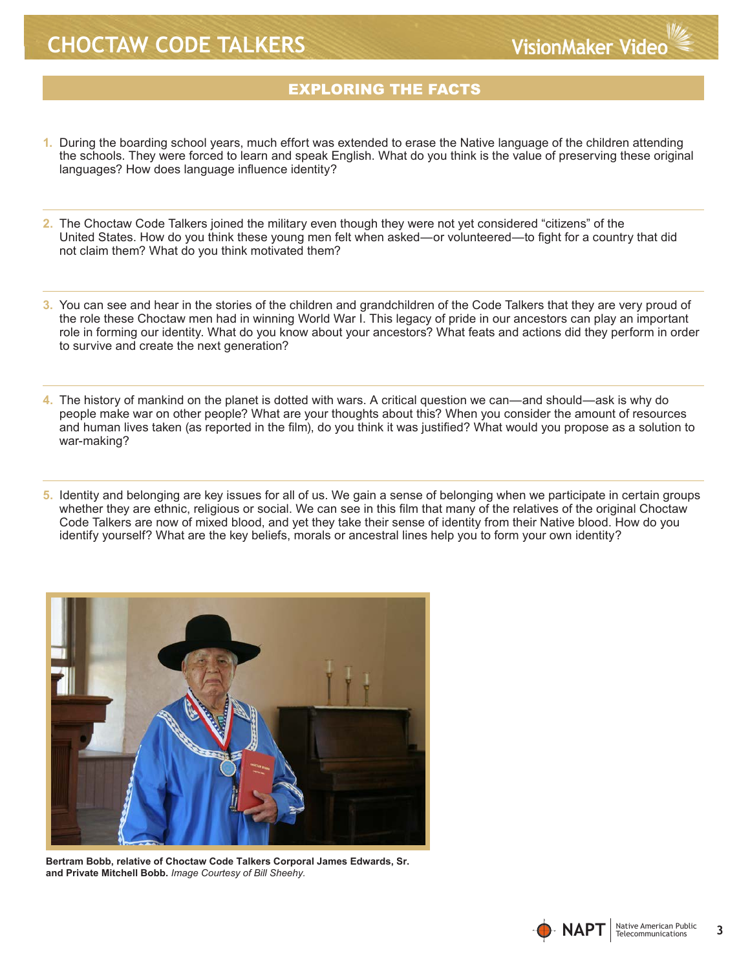### EXPLORING THE FACTS

- **1.** During the boarding school years, much effort was extended to erase the Native language of the children attending the schools. They were forced to learn and speak English. What do you think is the value of preserving these original languages? How does language influence identity?
- **2.** The Choctaw Code Talkers joined the military even though they were not yet considered "citizens" of the United States. How do you think these young men felt when asked—or volunteered—to fight for a country that did not claim them? What do you think motivated them?
- **3.** You can see and hear in the stories of the children and grandchildren of the Code Talkers that they are very proud of the role these Choctaw men had in winning World War I. This legacy of pride in our ancestors can play an important role in forming our identity. What do you know about your ancestors? What feats and actions did they perform in order to survive and create the next generation?
- **4.** The history of mankind on the planet is dotted with wars. A critical question we can—and should—ask is why do people make war on other people? What are your thoughts about this? When you consider the amount of resources and human lives taken (as reported in the film), do you think it was justified? What would you propose as a solution to war-making?
- **5.** Identity and belonging are key issues for all of us. We gain a sense of belonging when we participate in certain groups whether they are ethnic, religious or social. We can see in this film that many of the relatives of the original Choctaw Code Talkers are now of mixed blood, and yet they take their sense of identity from their Native blood. How do you identify yourself? What are the key beliefs, morals or ancestral lines help you to form your own identity?



**Bertram Bobb, relative of Choctaw Code Talkers Corporal James Edwards, Sr. and Private Mitchell Bobb.** *Image Courtesy of Bill Sheehy.* 

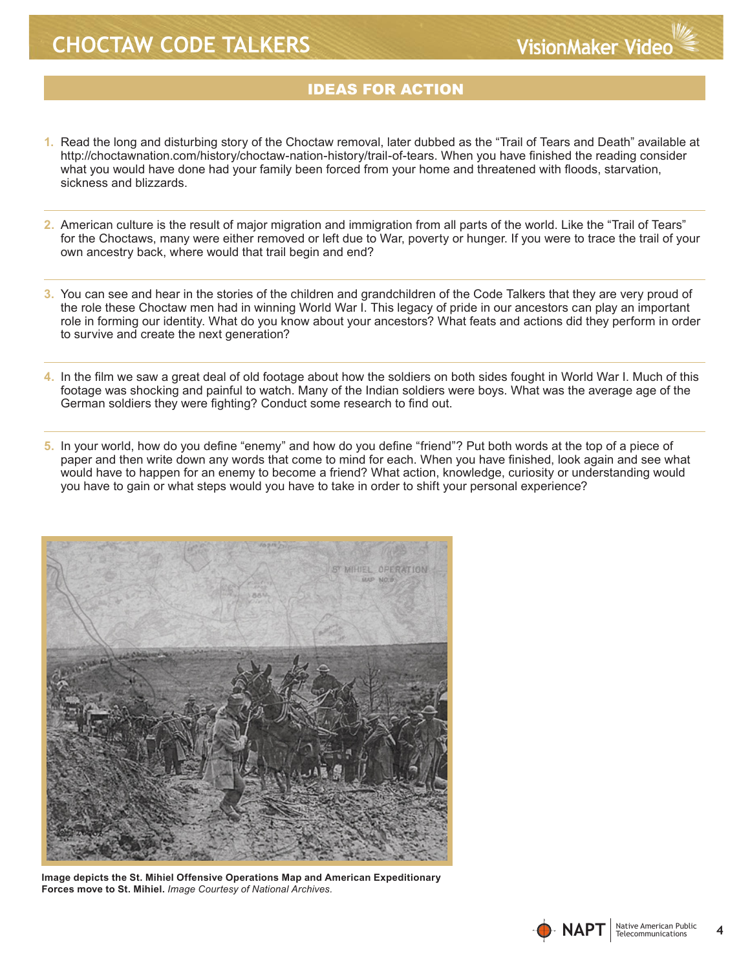### **IDEAS FOR ACTION**

- **1.** Read the long and disturbing story of the Choctaw removal, later dubbed as the "Trail of Tears and Death" available at http://choctawnation.com/history/choctaw-nation-history/trail-of-tears. When you have finished the reading consider what you would have done had your family been forced from your home and threatened with floods, starvation, sickness and blizzards.
- **2.** American culture is the result of major migration and immigration from all parts of the world. Like the "Trail of Tears" for the Choctaws, many were either removed or left due to War, poverty or hunger. If you were to trace the trail of your own ancestry back, where would that trail begin and end?
- **3.** You can see and hear in the stories of the children and grandchildren of the Code Talkers that they are very proud of the role these Choctaw men had in winning World War I. This legacy of pride in our ancestors can play an important role in forming our identity. What do you know about your ancestors? What feats and actions did they perform in order to survive and create the next generation?
- **4.** In the film we saw a great deal of old footage about how the soldiers on both sides fought in World War I. Much of this footage was shocking and painful to watch. Many of the Indian soldiers were boys. What was the average age of the German soldiers they were fighting? Conduct some research to find out.
- **5.** In your world, how do you define "enemy" and how do you define "friend"? Put both words at the top of a piece of paper and then write down any words that come to mind for each. When you have finished, look again and see what would have to happen for an enemy to become a friend? What action, knowledge, curiosity or understanding would you have to gain or what steps would you have to take in order to shift your personal experience?



**Image depicts the St. Mihiel Offensive Operations Map and American Expeditionary Forces move to St. Mihiel.** *Image Courtesy of National Archives.*